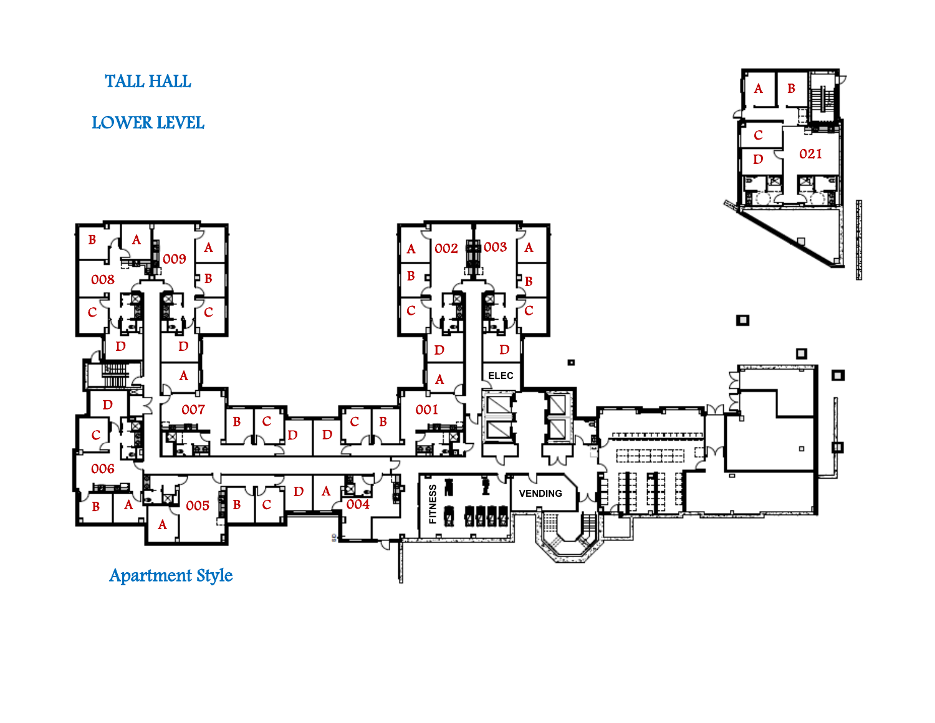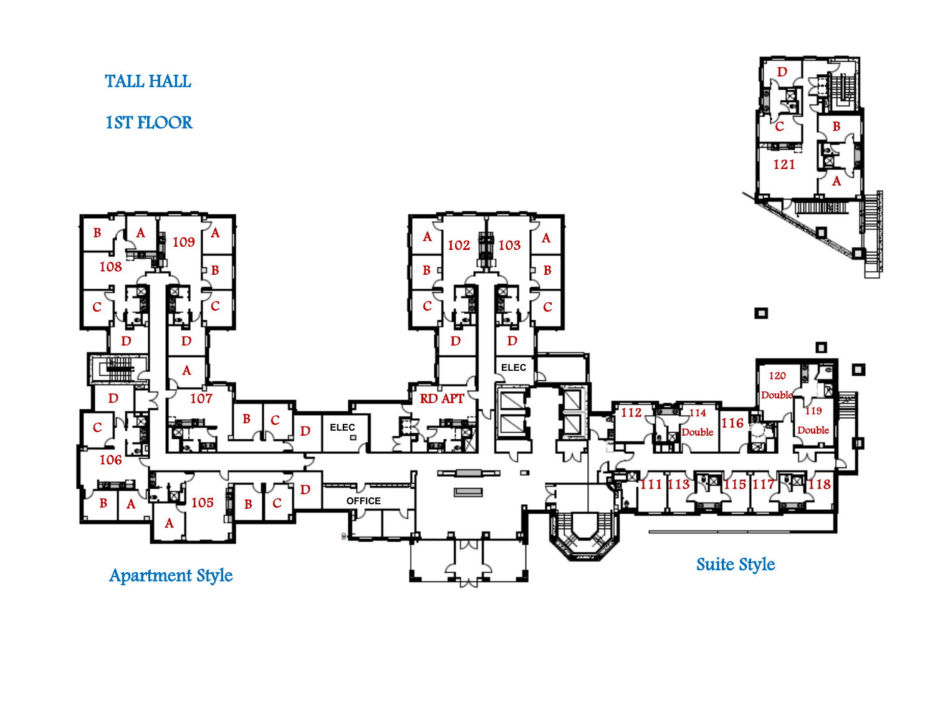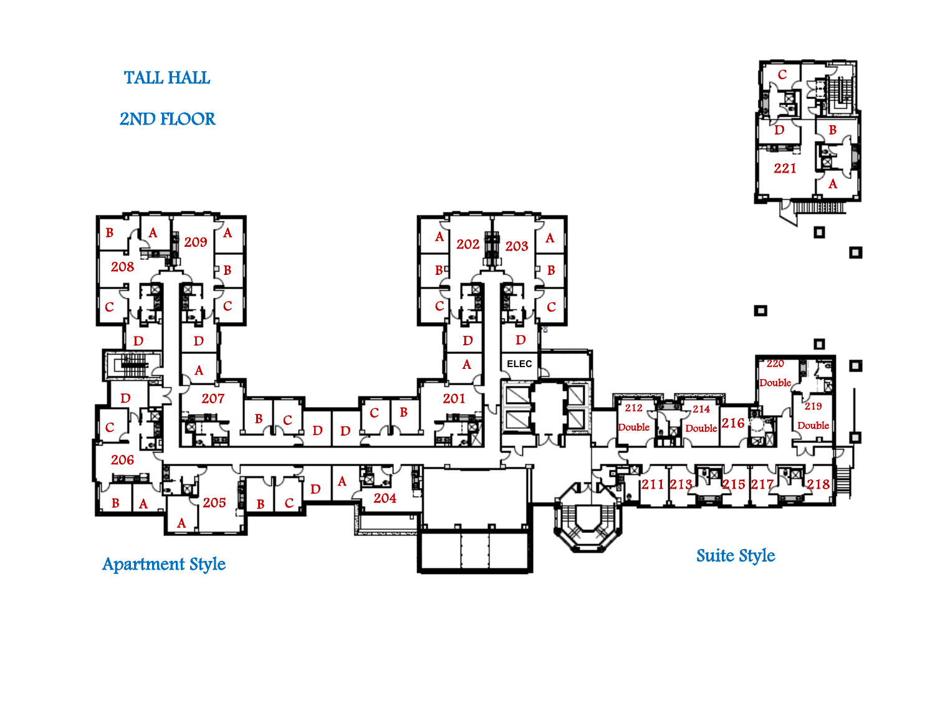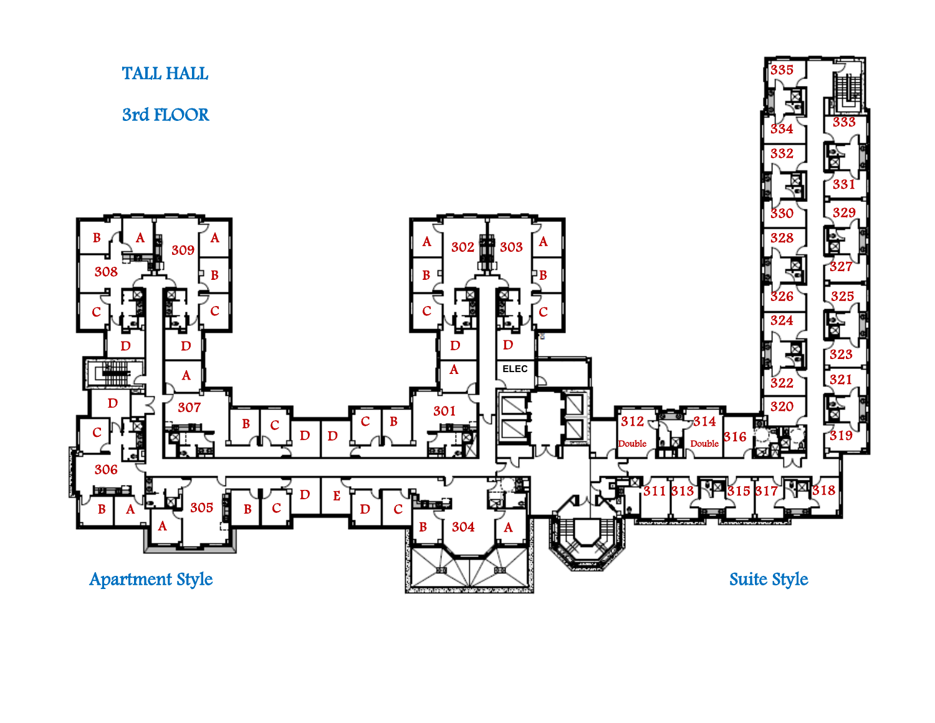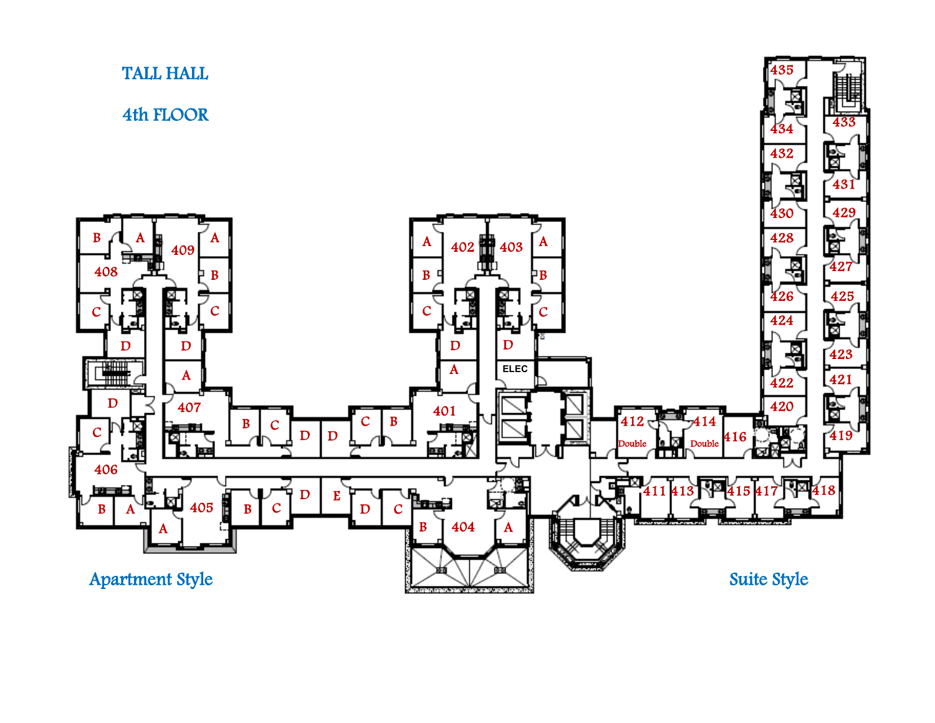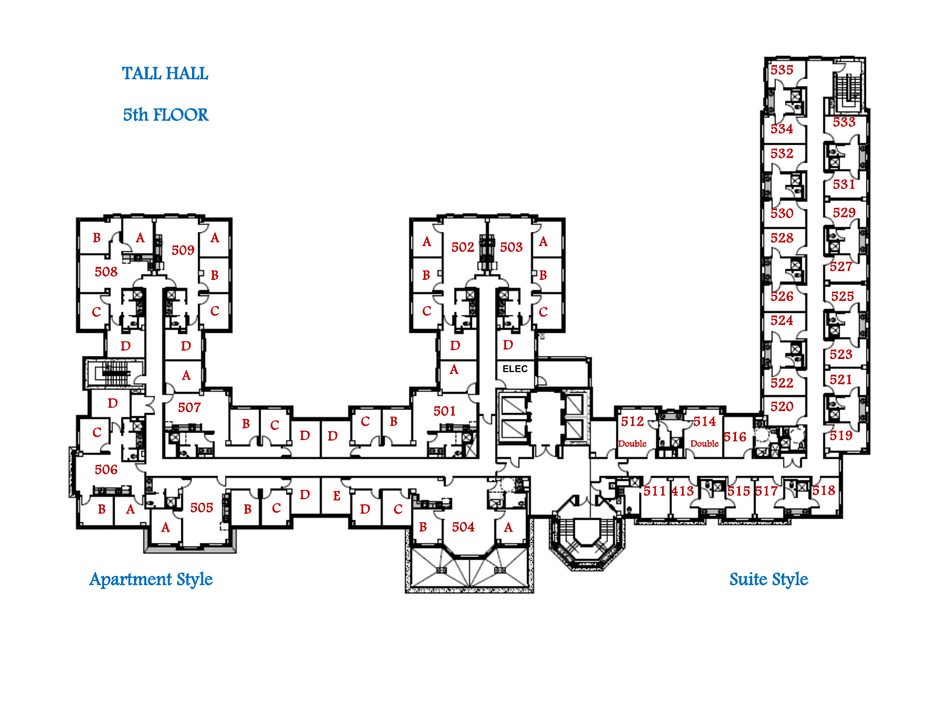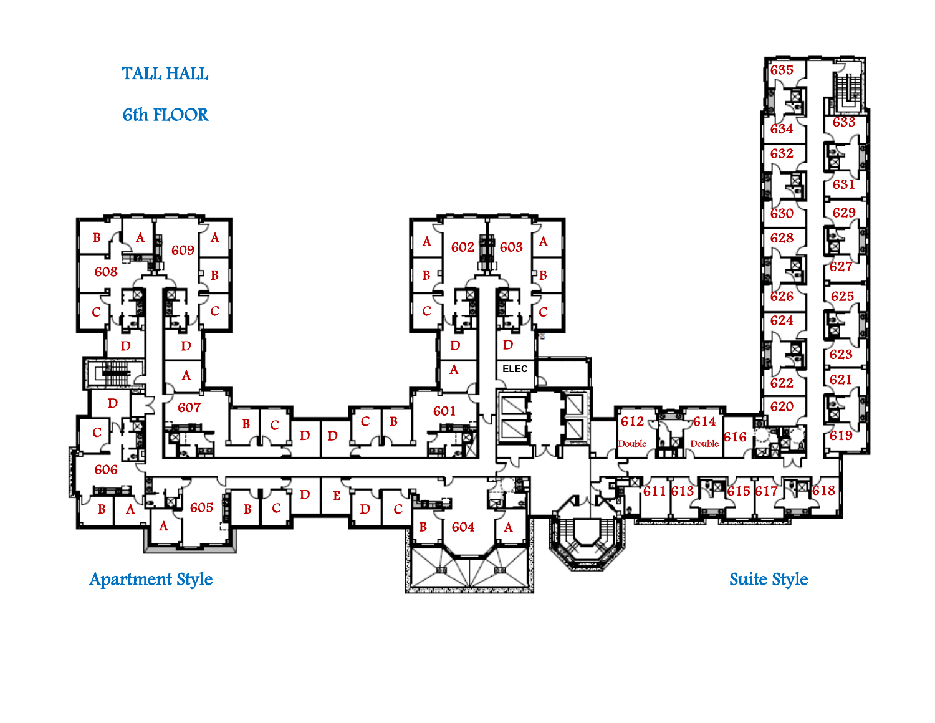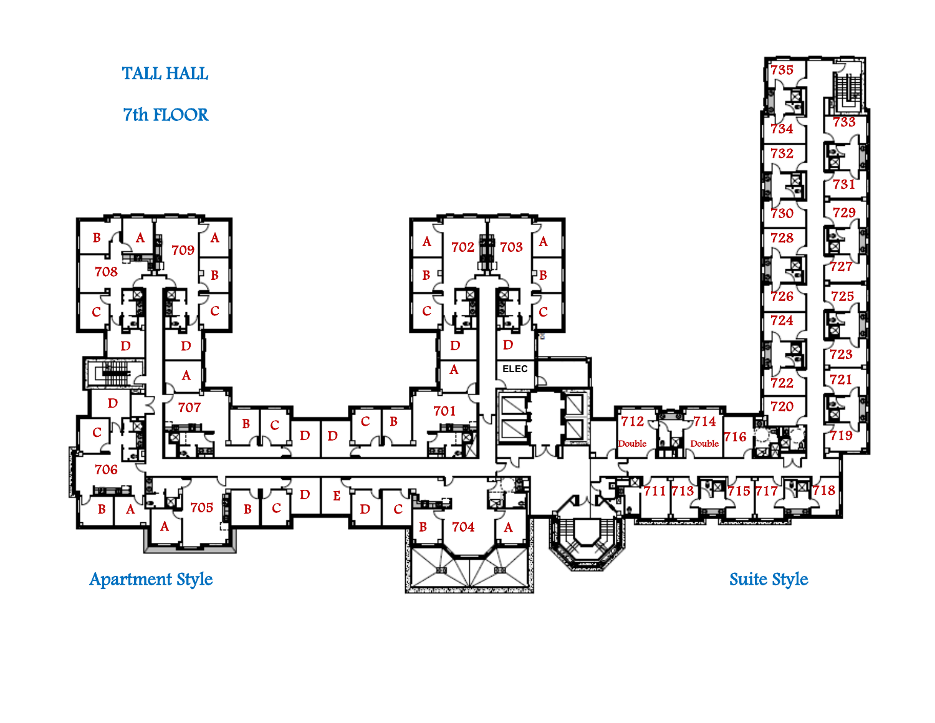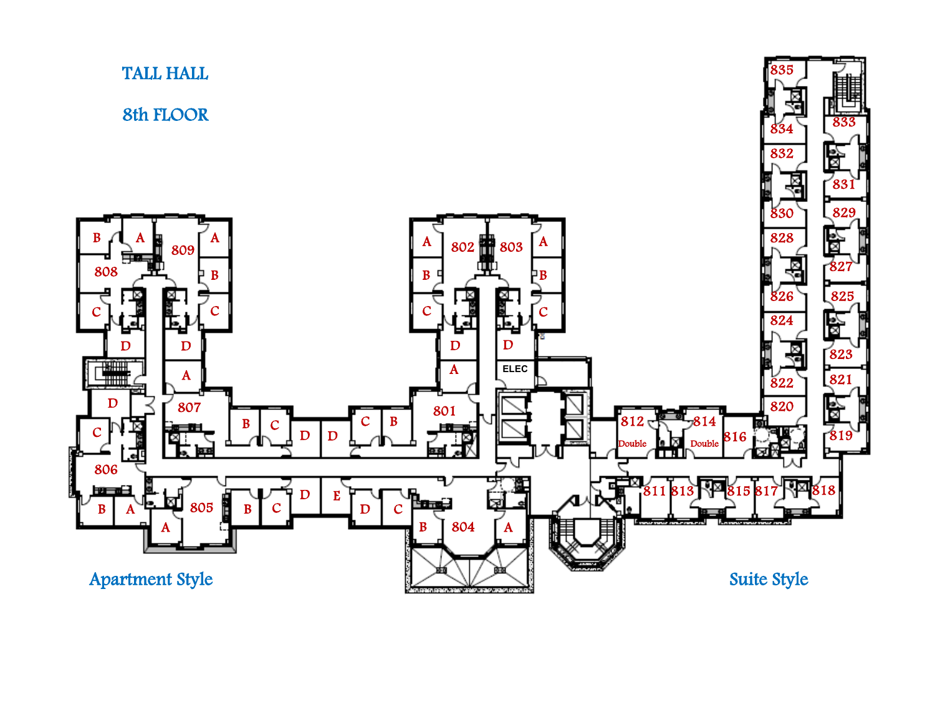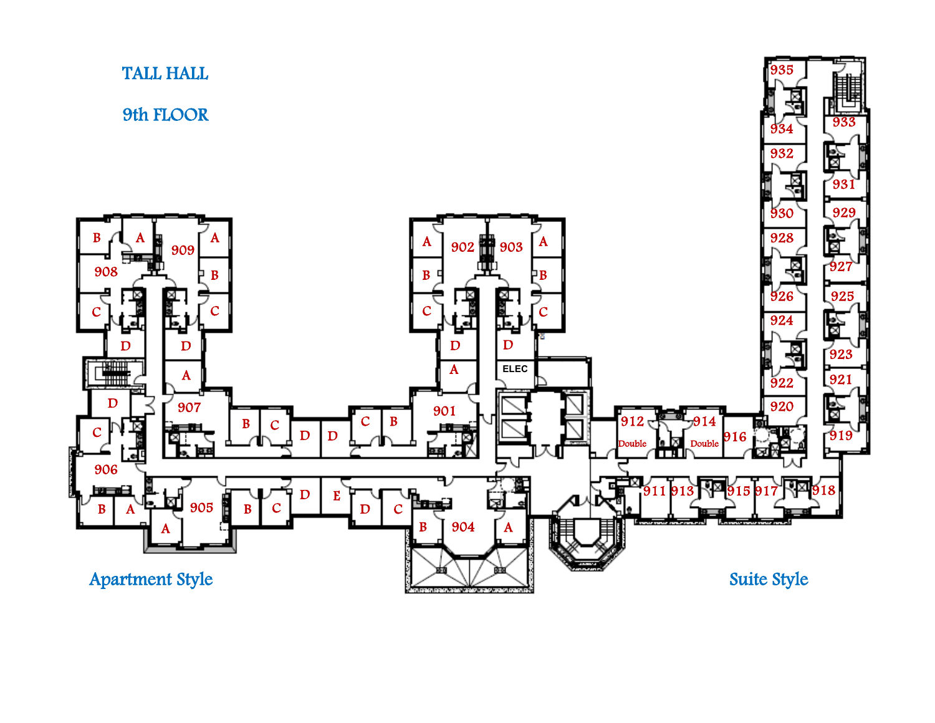